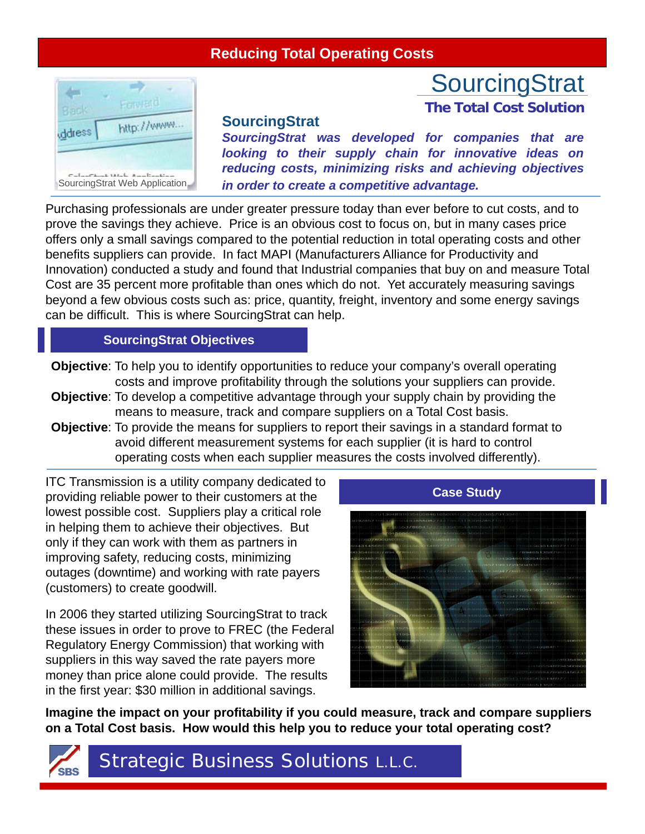

## **SourcingStrat**

*SourcingStrat was developed for companies that are looking to their supply chain for innovative ideas on reducing costs, minimizing risks and achieving objectives* SourcingStrat Web Application *in order to create a competitive advantage.*

**SourcingStrat** 

**The Total Cost Solution**

Purchasing professionals are under greater pressure today than ever before to cut costs, and to prove the savings they achieve. Price is an obvious cost to focus on, but in many cases price offers only a small savings compared to the potential reduction in total operating costs and other benefits suppliers can provide. In fact MAPI (Manufacturers Alliance for Productivity and Innovation) conducted a study and found that Industrial companies that buy on and measure Total Cost are 35 percent more profitable than ones which do not. Yet accurately measuring savings beyond a few obvious costs such as: price, quantity, freight, inventory and some energy savings can be difficult. This is where SourcingStrat can help.

## **SourcingStrat Objectives**

- **Objective**: To help you to identify opportunities to reduce your company's overall operating costs and improve profitability through the solutions your suppliers can provide.
- **Objective**: To develop a competitive advantage through your supply chain by providing the means to measure, track and compare suppliers on a Total Cost basis.
- **Objective**: To provide the means for suppliers to report their savings in a standard format to avoid different measurement systems for each supplier (it is hard to control operating costs when each supplier measures the costs involved differently).

ITC Transmission is a utility company dedicated to providing reliable power to their customers at the lowest possible cost. Suppliers play a critical role in helping them to achieve their objectives. But only if they can work with them as partners in improving safety, reducing costs, minimizing outages (downtime) and working with rate payers (customers) to create goodwill.

In 2006 they started utilizing SourcingStrat to track these issues in order to prove to FREC (the Federal Regulatory Energy Commission) that working with suppliers in this way saved the rate payers more money than price alone could provide. The results in the first year: \$30 million in additional savings.



**Imagine the impact on your profitability if you could measure, track and compare suppliers on a Total Cost basis. How would this help you to reduce your total operating cost?**

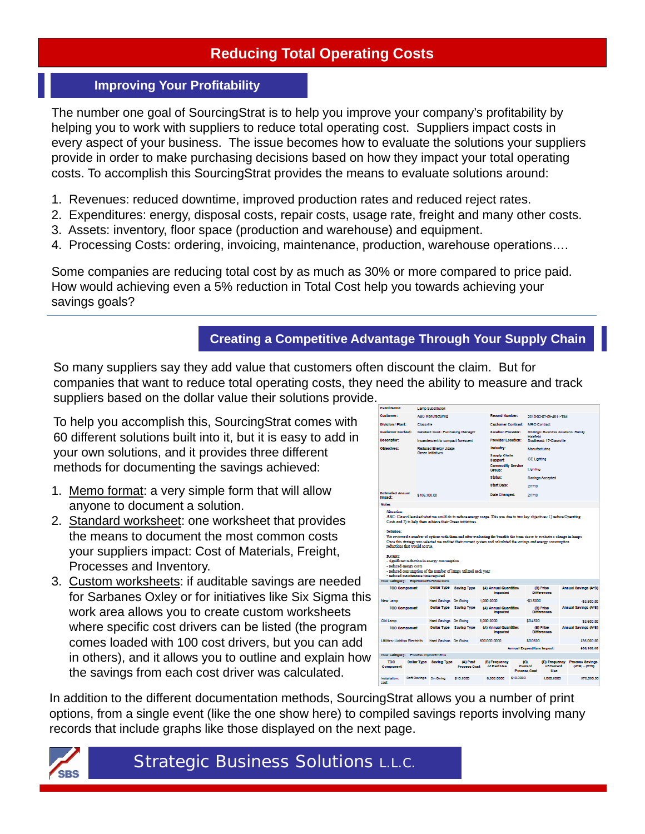## **Improving Your Profitability**

The number one goal of SourcingStrat is to help you improve your company's profitability by helping you to work with suppliers to reduce total operating cost. Suppliers impact costs in every aspect of your business. The issue becomes how to evaluate the solutions your suppliers provide in order to make purchasing decisions based on how they impact your total operating costs. To accomplish this SourcingStrat provides the means to evaluate solutions around:

- 1. Revenues: reduced downtime, improved production rates and reduced reject rates.
- 2. Expenditures: energy, disposal costs, repair costs, usage rate, freight and many other costs.
- 3. Assets: inventory, floor space (production and warehouse) and equipment.
- 4. Processing Costs: ordering, invoicing, maintenance, production, warehouse operations….

Some companies are reducing total cost by as much as 30% or more compared to price paid. How would achieving even a 5% reduction in Total Cost help you towards achieving your savings goals?

## **Creating a Competitive Advantage Through Your Supply Chain**

So many suppliers say they add value that customers often discount the claim. But for companies that want to reduce total operating costs, they need the ability to measure and track suppliers based on the dollar value their solutions provide.

To help you accomplish this, SourcingStrat comes with 60 different solutions built into it, but it is easy to add in your own solutions, and it provides three different methods for documenting the savings achieved:

- 1. Memo format: a very simple form that will allow anyone to document a solution.
- 2. Standard worksheet: one worksheet that provides the means to document the most common costs your suppliers impact: Cost of Materials, Freight, Processes and Inventory.
- 3. Custom worksheets: if auditable savings are needed for Sarbanes Oxley or for initiatives like Six Sigma this work area allows you to create custom worksheets where specific cost drivers can be listed (the program comes loaded with 100 cost drivers, but you can add in others), and it allows you to outline and explain how the savings from each cost driver was calculated.

| <b>Event Name:</b>                                                          |                                                                      | <b>Lamp Substitution</b>                      |                                                                 |                                                                                                                                                                                                                                                |                                          |                                            |                                 |                      |                                                                  |  |
|-----------------------------------------------------------------------------|----------------------------------------------------------------------|-----------------------------------------------|-----------------------------------------------------------------|------------------------------------------------------------------------------------------------------------------------------------------------------------------------------------------------------------------------------------------------|------------------------------------------|--------------------------------------------|---------------------------------|----------------------|------------------------------------------------------------------|--|
| <b>Customer:</b>                                                            | <b>ABC Manufacturing</b><br>Classville                               |                                               |                                                                 | <b>Report Number:</b>                                                                                                                                                                                                                          |                                          |                                            | 2010-02-07-09-4611-TIM          |                      |                                                                  |  |
| <b>Division / Plant:</b>                                                    |                                                                      |                                               | <b>Customer Contract:</b>                                       |                                                                                                                                                                                                                                                | <b>MRO Contract</b>                      |                                            |                                 |                      |                                                                  |  |
| <b>Customer Contact:</b>                                                    |                                                                      | Candace Cook: Purchasing Manager              |                                                                 | <b>Solution Provider:</b>                                                                                                                                                                                                                      |                                          | <b>Strategic Business Solutions: Randy</b> |                                 |                      |                                                                  |  |
| Decoriptor:                                                                 |                                                                      | Incandescent to compact florescent            |                                                                 | <b>Provider Location:</b>                                                                                                                                                                                                                      |                                          | Halmeld<br>Southeast: 17-Classville        |                                 |                      |                                                                  |  |
| Objectives:                                                                 |                                                                      | <b>Reduced Energy Usage</b>                   |                                                                 |                                                                                                                                                                                                                                                |                                          | Manufacturing                              |                                 |                      |                                                                  |  |
|                                                                             |                                                                      | Green Initiatives                             |                                                                 | <b>Supply Chain</b><br>Support:                                                                                                                                                                                                                |                                          | <b>GE Lighting</b>                         |                                 |                      |                                                                  |  |
|                                                                             |                                                                      |                                               |                                                                 | <b>Commodity Service</b><br>Group:                                                                                                                                                                                                             |                                          | Lighting                                   |                                 |                      |                                                                  |  |
|                                                                             |                                                                      |                                               |                                                                 | <b>Statue:</b>                                                                                                                                                                                                                                 |                                          |                                            | Savings Accepted                |                      |                                                                  |  |
|                                                                             |                                                                      |                                               |                                                                 | <b>Start Date:</b>                                                                                                                                                                                                                             |                                          | 2/7/10                                     |                                 |                      |                                                                  |  |
| <b>Estimated Annual</b><br>Impact:                                          | \$106,100.00                                                         |                                               |                                                                 | Date Changed:                                                                                                                                                                                                                                  |                                          | 2/7/10                                     |                                 |                      |                                                                  |  |
| <b>Notes</b>                                                                |                                                                      |                                               |                                                                 |                                                                                                                                                                                                                                                |                                          |                                            |                                 |                      |                                                                  |  |
| Retailty<br>- reduced energy costs<br>TCO Category: Expenditures Reductions | reductions that would accrue.<br>- reduced maintenance time required | - significant reduction in energy consumption | - reduced consumption of the number of lamps utilized each year | We reviewed a number of options with them and after evaluating the benefits the team chose to evaluate a change in lamps.<br>Once this strategy was selected we audited their current system and calculated the savings and energy consumption |                                          |                                            |                                 |                      |                                                                  |  |
|                                                                             |                                                                      |                                               |                                                                 |                                                                                                                                                                                                                                                |                                          |                                            |                                 |                      |                                                                  |  |
| <b>TCO Component</b>                                                        |                                                                      | <b>Dollar Type</b>                            | <b>Saving Type</b>                                              | (A) Annual Quantities<br>Impacted                                                                                                                                                                                                              |                                          | (B) Price<br><b>Differences</b>            |                                 | Annual Savings (A*B) |                                                                  |  |
| New Lamp                                                                    |                                                                      | Hard Savings On Going                         |                                                                 | 1.000.0000                                                                                                                                                                                                                                     | $-53.5000$                               |                                            |                                 | $-53,500,00$         |                                                                  |  |
| <b>TCO Component</b>                                                        |                                                                      | Dollar Type Saving Type                       |                                                                 |                                                                                                                                                                                                                                                | (A) Annual Quantities<br>Impacted        |                                            | (B) Price<br><b>Differences</b> |                      | <b>Annual Savinos (A*B)</b>                                      |  |
| Old Lamp                                                                    |                                                                      | Hard Savings On Going                         |                                                                 | 8,000,0000                                                                                                                                                                                                                                     |                                          |                                            | \$0,4500                        |                      |                                                                  |  |
| <b>TCO Component</b>                                                        |                                                                      | Dollar Type Saving Type                       |                                                                 |                                                                                                                                                                                                                                                | (A) Annual Quantities<br><b>Impacted</b> |                                            | (B) Price<br><b>Differences</b> |                      |                                                                  |  |
|                                                                             |                                                                      |                                               |                                                                 |                                                                                                                                                                                                                                                |                                          |                                            |                                 |                      |                                                                  |  |
|                                                                             | Utilities: Lighting Electricity                                      | Hard Savings On Going                         |                                                                 | 600,000.0000                                                                                                                                                                                                                                   |                                          | \$0,0600                                   |                                 |                      |                                                                  |  |
|                                                                             |                                                                      |                                               |                                                                 |                                                                                                                                                                                                                                                | Annual Expenditure Impact:               |                                            |                                 |                      | \$3,600.00<br>Annual Savingc (A*B)<br>\$36,000.00<br>\$38,100.00 |  |
|                                                                             |                                                                      |                                               |                                                                 |                                                                                                                                                                                                                                                |                                          |                                            |                                 |                      |                                                                  |  |
| TCO Category: Process Improvements<br>TCO<br>Component                      |                                                                      | <b>Dollar Type Saving Type</b>                | (A) Pact<br><b>Process Cost</b>                                 | (B) Frequency<br>of Pact Uce                                                                                                                                                                                                                   |                                          | (C)<br>Current<br><b>Process Cost</b>      | of Current<br>Uce               |                      | (D) Frequency Process Savings<br>$(A^*B) - (C^*D)$               |  |

In addition to the different documentation methods, SourcingStrat allows you a number of print options, from a single event (like the one show here) to compiled savings reports involving many records that include graphs like those displayed on the next page.



Strategic Business Solutions L.L.C.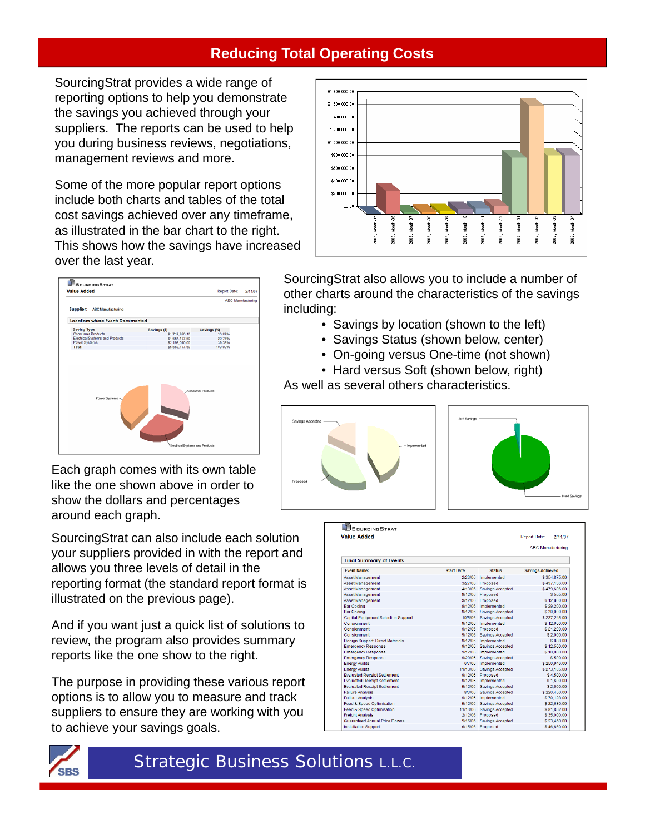SourcingStrat provides a wide range of reporting options to help you demonstrate the savings you achieved through your suppliers. The reports can be used to help you during business reviews, negotiations, management reviews and more.

Some of the more popular report options include both charts and tables of the total cost savings achieved over any timeframe, as illustrated in the bar chart to the right. This shows how the savings have increased over the last year.



Each graph comes with its own table like the one shown above in order to show the dollars and percentages around each graph.

SourcingStrat can also include each solution your suppliers provided in with the report and allows you three levels of detail in the reporting format (the standard report format is illustrated on the previous page).

And if you want just a quick list of solutions to review, the program also provides summary reports like the one show to the right.

The purpose in providing these various report options is to allow you to measure and track suppliers to ensure they are working with you to achieve your savings goals.



SourcingStrat also allows you to include a number of other charts around the characteristics of the savings including:

- Savings by location (shown to the left)
- Savings Status (shown below, center)
- On-going versus One-time (not shown)
- Hard versus Soft (shown below, right)

As well as several others characteristics.





| <b>Value Added</b>                         |                   |                         | <b>Report Date:</b><br>2/11/07 |  |  |  |
|--------------------------------------------|-------------------|-------------------------|--------------------------------|--|--|--|
|                                            |                   |                         | <b>ABC</b> Manufacturing       |  |  |  |
| <b>Final Summary of Events</b>             |                   |                         |                                |  |  |  |
| <b>Event Name:</b>                         | <b>Start Date</b> | <b>Status</b>           | <b>Savings Achieved</b>        |  |  |  |
| Asset Management                           | 2/23/06           | Implemented             | \$354,875.00                   |  |  |  |
| <b>Asset Management</b>                    |                   | 3/27/06 Proposed        | \$497,136.60                   |  |  |  |
| Asset Management                           | 4/13/06           | Savings Accepted        | \$479,606.00                   |  |  |  |
| Asset Management                           |                   | 9/12/06 Proposed        | \$555.00                       |  |  |  |
| Asset Management                           |                   | 9/12/06 Proposed        | \$12,800.00                    |  |  |  |
| <b>Bar Coding</b>                          | 9/12/06           | Implemented             | \$29,200.00                    |  |  |  |
| <b>Bar Coding</b>                          | 9/12/06           | Savings Accepted        | \$30,000.00                    |  |  |  |
| <b>Capital Equipment Selection Support</b> | 10/5/06           | Savings Accepted        | \$237,245.00                   |  |  |  |
| Consignment                                | 9/12/06           | Implemented             | \$12,650.00                    |  |  |  |
| Consignment                                | 9/12/06           | Proposed                | \$21,290.00                    |  |  |  |
| Consignment                                | 9/12/06           | Savings Accepted        | \$2.000.00                     |  |  |  |
| Design Support: Direct Materials           | 9/12/06           | Implemented             | \$888.00                       |  |  |  |
| <b>Emergency Response</b>                  | 9/12/06           | Savings Accepted        | \$12,500.00                    |  |  |  |
| <b>Emergency Response</b>                  | 9/12/06           | Implemented             | \$10,000.00                    |  |  |  |
| <b>Emergency Response</b>                  | 9/29/06           | <b>Savings Accepted</b> | \$500.00                       |  |  |  |
| <b>Energy Audits</b>                       | 6/7/06            | Implemented             | \$250,946.00                   |  |  |  |
| <b>Energy Audits</b>                       | 11/13/06          | Savings Accepted        | \$273.105.00                   |  |  |  |
| <b>Evaluated Receipt Settlement</b>        | 9/12/06           | Proposed                | \$4.500.00                     |  |  |  |
| <b>Evaluated Receipt Settlement</b>        | 9/12/06           | Implemented             | \$1,600.00                     |  |  |  |
| <b>Evaluated Receipt Settlement</b>        | 9/12/06           | Savings Accepted        | \$2,500.00                     |  |  |  |
| <b>Failure Analysis</b>                    | 8/3/06            | <b>Savings Accepted</b> | \$220,450.00                   |  |  |  |
| <b>Failure Analysis</b>                    | 9/12/06           | Implemented             | \$70,128.00                    |  |  |  |
| <b>Feed &amp; Speed Optimization</b>       | 9/12/06           | Savings Accepted        | \$22,680.00                    |  |  |  |
| Feed & Speed Optimization                  | 11/13/06          | Savings Accepted        | \$81.852.00                    |  |  |  |
| <b>Freight Analysis</b>                    | 2/12/06           | Proposed                | \$35,000.00                    |  |  |  |
| <b>Guaranteed Annual Price Downs</b>       | 5/16/06           | Savings Accepted        | \$23,450.00                    |  |  |  |
| <b>Installation Support</b>                |                   | 6/15/06 Proposed        | \$46.660.00                    |  |  |  |